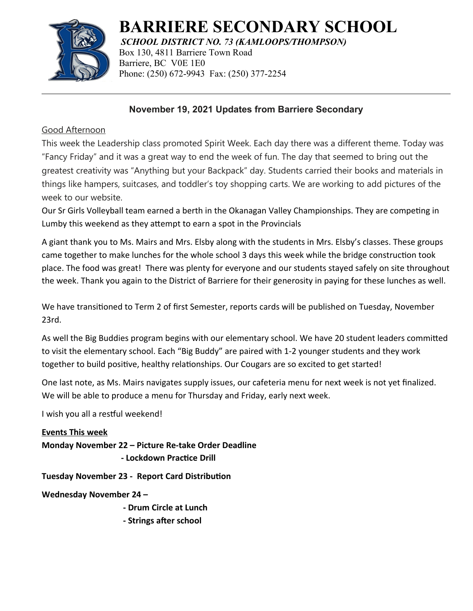

# **BARRIERE SECONDARY SCHOOL**

*SCHOOL DISTRICT NO. 73 (KAMLOOPS/THOMPSON)* Box 130, 4811 Barriere Town Road Barriere, BC V0E 1E0 Phone: (250) 672-9943 Fax: (250) 377-2254

# **November 19, 2021 Updates from Barriere Secondary**

## Good Afternoon

This week the Leadership class promoted Spirit Week. Each day there was a different theme. Today was "Fancy Friday" and it was a great way to end the week of fun. The day that seemed to bring out the greatest creativity was "Anything but your Backpack" day. Students carried their books and materials in things like hampers, suitcases, and toddler's toy shopping carts. We are working to add pictures of the week to our website.

Our Sr Girls Volleyball team earned a berth in the Okanagan Valley Championships. They are competing in Lumby this weekend as they attempt to earn a spot in the Provincials

A giant thank you to Ms. Mairs and Mrs. Elsby along with the students in Mrs. Elsby's classes. These groups came together to make lunches for the whole school 3 days this week while the bridge construction took place. The food was great! There was plenty for everyone and our students stayed safely on site throughout the week. Thank you again to the District of Barriere for their generosity in paying for these lunches as well.

We have transitioned to Term 2 of first Semester, reports cards will be published on Tuesday, November 23rd.

As well the Big Buddies program begins with our elementary school. We have 20 student leaders committed to visit the elementary school. Each "Big Buddy" are paired with 1-2 younger students and they work together to build positive, healthy relationships. Our Cougars are so excited to get started!

One last note, as Ms. Mairs navigates supply issues, our cafeteria menu for next week is not yet finalized. We will be able to produce a menu for Thursday and Friday, early next week.

I wish you all a restful weekend!

## **Events This week**

**Monday November 22 – Picture Re-take Order Deadline**

 **- Lockdown Practice Drill**

**Tuesday November 23 - Report Card Distribution**

**Wednesday November 24 –**

**- Drum Circle at Lunch**

**- Strings after school**